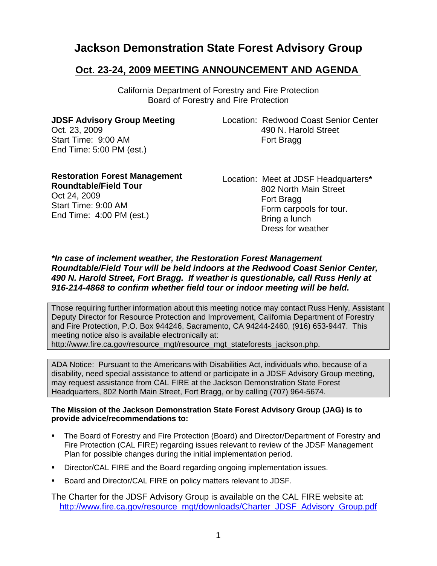# **Jackson Demonstration State Forest Advisory Group**

## **Oct. 23-24, 2009 MEETING ANNOUNCEMENT AND AGENDA**

California Department of Forestry and Fire Protection Board of Forestry and Fire Protection

**JDSF Advisory Group Meeting**  Oct. 23, 2009 Start Time: 9:00 AM End Time: 5:00 PM (est.)

Location: Redwood Coast Senior Center 490 N. Harold Street Fort Bragg

| <b>Restoration Forest Management</b> |  |
|--------------------------------------|--|
| <b>Roundtable/Field Tour</b>         |  |
| Oct 24, 2009                         |  |
| Start Time: 9:00 AM                  |  |
| End Time: $4:00$ PM (est.)           |  |

Location: Meet at JDSF Headquarters**\*** 802 North Main Street Fort Bragg Form carpools for tour. Bring a lunch Dress for weather

#### *\*In case of inclement weather, the Restoration Forest Management Roundtable/Field Tour will be held indoors at the Redwood Coast Senior Center, 490 N. Harold Street, Fort Bragg. If weather is questionable, call Russ Henly at 916-214-4868 to confirm whether field tour or indoor meeting will be held.*

Those requiring further information about this meeting notice may contact Russ Henly, Assistant Deputy Director for Resource Protection and Improvement, California Department of Forestry and Fire Protection, P.O. Box 944246, Sacramento, CA 94244-2460, (916) 653-9447. This meeting notice also is available electronically at: http://www.fire.ca.gov/resource\_mgt/resource\_mgt\_stateforests\_jackson.php.

ADA Notice: Pursuant to the Americans with Disabilities Act, individuals who, because of a disability, need special assistance to attend or participate in a JDSF Advisory Group meeting, may request assistance from CAL FIRE at the Jackson Demonstration State Forest Headquarters, 802 North Main Street, Fort Bragg, or by calling (707) 964-5674.

#### **The Mission of the Jackson Demonstration State Forest Advisory Group (JAG) is to provide advice/recommendations to:**

- The Board of Forestry and Fire Protection (Board) and Director/Department of Forestry and Fire Protection (CAL FIRE) regarding issues relevant to review of the JDSF Management Plan for possible changes during the initial implementation period.
- Director/CAL FIRE and the Board regarding ongoing implementation issues.
- **Board and Director/CAL FIRE on policy matters relevant to JDSF.**

The Charter for the JDSF Advisory Group is available on the CAL FIRE website at: [http://www.fire.ca.gov/resource\\_mgt/downloads/Charter\\_JDSF\\_Advisory\\_Group.pdf](http://www.fire.ca.gov/resource_mgt/downloads/Charter_JDSF_Advisory_Group.pdf)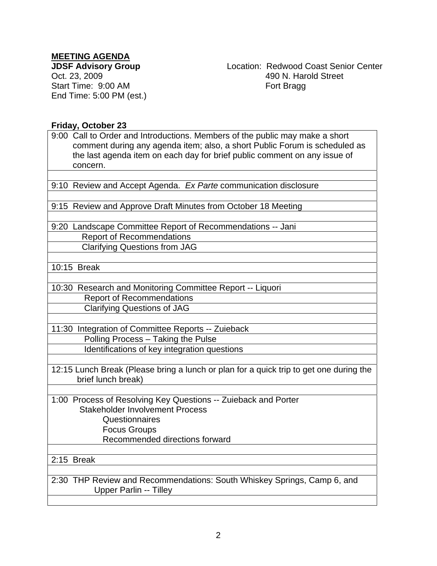## **MEETING AGENDA**

**JDSF Advisory Group**  Oct. 23, 2009 Start Time: 9:00 AM End Time: 5:00 PM (est.) Location: Redwood Coast Senior Center 490 N. Harold Street Fort Bragg

#### **Friday, October 23**

9:00 Call to Order and Introductions. Members of the public may make a short comment during any agenda item; also, a short Public Forum is scheduled as the last agenda item on each day for brief public comment on any issue of concern.

9:10 Review and Accept Agenda. *Ex Parte* communication disclosure

9:15 Review and Approve Draft Minutes from October 18 Meeting

9:20 Landscape Committee Report of Recommendations -- Jani Report of Recommendations Clarifying Questions from JAG

10:15 Break

10:30 Research and Monitoring Committee Report -- Liquori Report of Recommendations Clarifying Questions of JAG

11:30 Integration of Committee Reports -- Zuieback Polling Process – Taking the Pulse Identifications of key integration questions

12:15 Lunch Break (Please bring a lunch or plan for a quick trip to get one during the brief lunch break)

1:00 Process of Resolving Key Questions -- Zuieback and Porter Stakeholder Involvement Process Questionnaires Focus Groups Recommended directions forward

2:15 Break

2:30 THP Review and Recommendations: South Whiskey Springs, Camp 6, and Upper Parlin -- Tilley